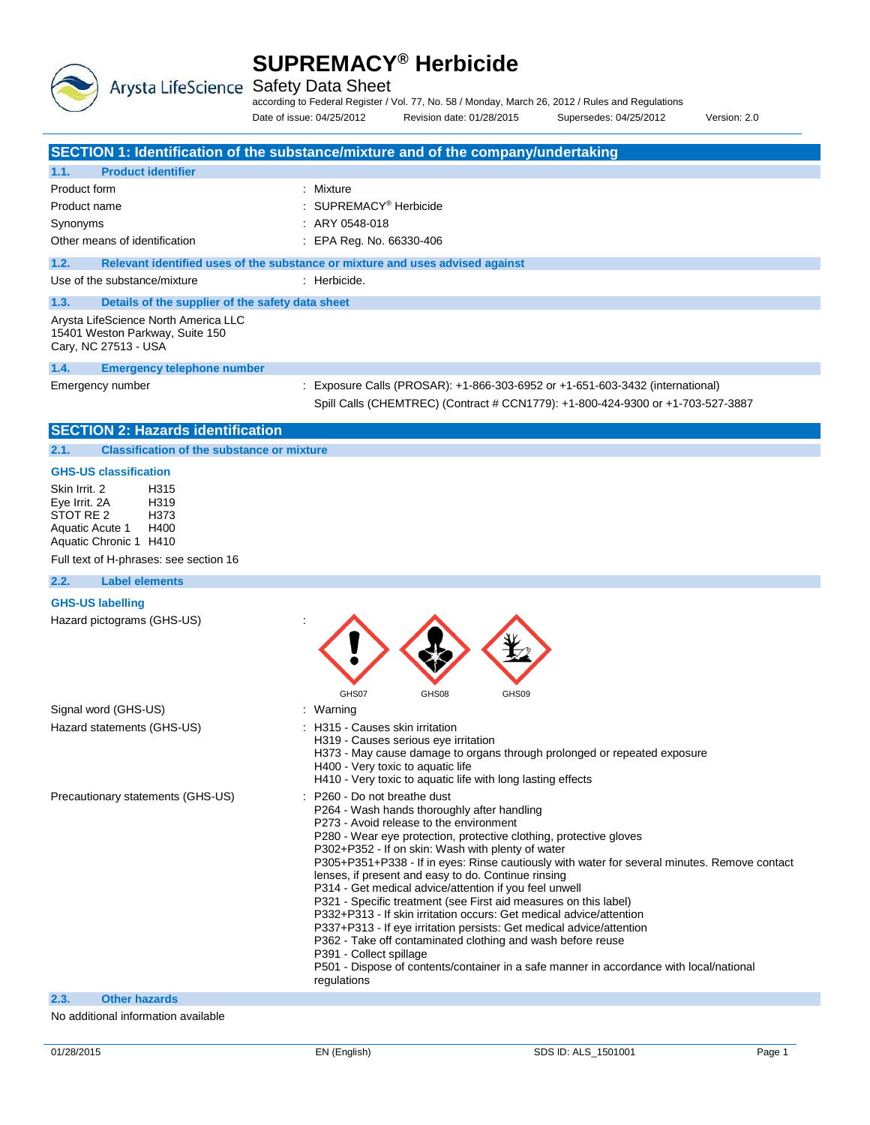Arysta LifeScience Safety Data Sheet

according to Federal Register / Vol. 77, No. 58 / Monday, March 26, 2012 / Rules and Regulations Date of issue: 04/25/2012 Revision date: 01/28/2015 Supersedes: 04/25/2012 Version: 2.0

**SECTION 1: Identification of the substance/mixture and of the company/undertaking 1.1. Product identifier** Product form : Nixture Product name  $\qquad \qquad : \quad \text{SUPREMACY}^{\textcirc}$  Herbicide Synonyms : ARY 0548-018 Other means of identification : EPA Reg. No. 66330-406 **1.2. Relevant identified uses of the substance or mixture and uses advised against** Use of the substance/mixture : Herbicide. **1.3. Details of the supplier of the safety data sheet** Arysta LifeScience North America LLC 15401 Weston Parkway, Suite 150 Cary, NC 27513 - USA **1.4. Emergency telephone number** Emergency number : Exposure Calls (PROSAR): +1-866-303-6952 or +1-651-603-3432 (international) Spill Calls (CHEMTREC) (Contract # CCN1779): +1-800-424-9300 or +1-703-527-3887

#### **SECTION 2: Hazards identification**

**2.1. Classification of the substance or mixture**

#### **GHS-US classification**

Skin Irrit. 2 **H315** Eye Irrit. 2A H319<br>STOT RE 2 H373 STOT RE 2 Aquatic Acute 1 H400 Aquatic Chronic 1 H410

Full text of H-phrases: see section 16

### **2.2. Label elements**

#### **GHS-US labelling**

Hazard pictograms (GHS-US) : and the control of the control of the control of the control of the control of the control of the control of the control of the control of the control of the control of the control of the contr

|                                   | GHS07<br>GHS08<br>GHS09                                                                                                                                                                                                                                                                                                                                                                                                                                                                                                                                                                                                                                                                                                                                                                                                                                                                              |
|-----------------------------------|------------------------------------------------------------------------------------------------------------------------------------------------------------------------------------------------------------------------------------------------------------------------------------------------------------------------------------------------------------------------------------------------------------------------------------------------------------------------------------------------------------------------------------------------------------------------------------------------------------------------------------------------------------------------------------------------------------------------------------------------------------------------------------------------------------------------------------------------------------------------------------------------------|
| Signal word (GHS-US)              | : Warning                                                                                                                                                                                                                                                                                                                                                                                                                                                                                                                                                                                                                                                                                                                                                                                                                                                                                            |
| Hazard statements (GHS-US)        | : H315 - Causes skin irritation<br>H319 - Causes serious eye irritation<br>H373 - May cause damage to organs through prolonged or repeated exposure<br>H400 - Very toxic to aquatic life<br>H410 - Very toxic to aquatic life with long lasting effects                                                                                                                                                                                                                                                                                                                                                                                                                                                                                                                                                                                                                                              |
| Precautionary statements (GHS-US) | $\therefore$ P260 - Do not breathe dust<br>P264 - Wash hands thoroughly after handling<br>P273 - Avoid release to the environment<br>P280 - Wear eye protection, protective clothing, protective gloves<br>P302+P352 - If on skin: Wash with plenty of water<br>P305+P351+P338 - If in eyes: Rinse cautiously with water for several minutes. Remove contact<br>lenses, if present and easy to do. Continue rinsing<br>P314 - Get medical advice/attention if you feel unwell<br>P321 - Specific treatment (see First aid measures on this label)<br>P332+P313 - If skin irritation occurs: Get medical advice/attention<br>P337+P313 - If eye irritation persists: Get medical advice/attention<br>P362 - Take off contaminated clothing and wash before reuse<br>P391 - Collect spillage<br>P501 - Dispose of contents/container in a safe manner in accordance with local/national<br>regulations |
| 2.3.<br><b>Other hazards</b>      |                                                                                                                                                                                                                                                                                                                                                                                                                                                                                                                                                                                                                                                                                                                                                                                                                                                                                                      |

#### No additional information available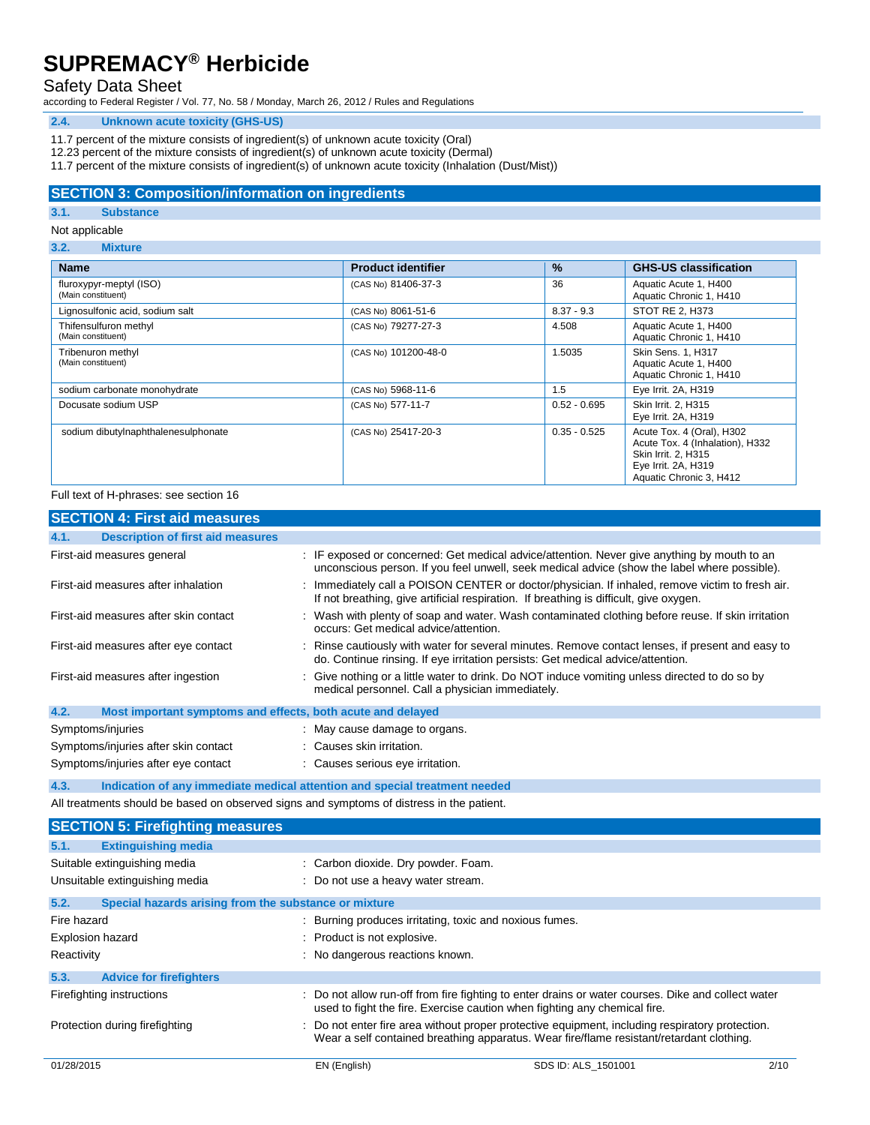## Safety Data Sheet

according to Federal Register / Vol. 77, No. 58 / Monday, March 26, 2012 / Rules and Regulations

#### **2.4. Unknown acute toxicity (GHS-US)**

- 11.7 percent of the mixture consists of ingredient(s) of unknown acute toxicity (Oral)
- 12.23 percent of the mixture consists of ingredient(s) of unknown acute toxicity (Dermal)
- 11.7 percent of the mixture consists of ingredient(s) of unknown acute toxicity (Inhalation (Dust/Mist))

### **SECTION 3: Composition/information on ingredients**

#### **3.1. Substance**

#### Not applicable

**3.2. Mixture**

| <b>Name</b>                                   | <b>Product identifier</b> | $\%$           | <b>GHS-US classification</b>                                                                                                          |
|-----------------------------------------------|---------------------------|----------------|---------------------------------------------------------------------------------------------------------------------------------------|
| fluroxypyr-meptyl (ISO)<br>(Main constituent) | (CAS No) 81406-37-3       | 36             | Aquatic Acute 1, H400<br>Aquatic Chronic 1, H410                                                                                      |
| Lignosulfonic acid, sodium salt               | (CAS No) 8061-51-6        | $8.37 - 9.3$   | STOT RE 2, H373                                                                                                                       |
| Thifensulfuron methyl<br>(Main constituent)   | (CAS No) 79277-27-3       | 4.508          | Aquatic Acute 1, H400<br>Aquatic Chronic 1, H410                                                                                      |
| Tribenuron methyl<br>(Main constituent)       | (CAS No) 101200-48-0      | 1.5035         | Skin Sens. 1, H317<br>Aquatic Acute 1, H400<br>Aquatic Chronic 1, H410                                                                |
| sodium carbonate monohydrate                  | (CAS No) 5968-11-6        | 1.5            | Eye Irrit. 2A, H319                                                                                                                   |
| Docusate sodium USP                           | (CAS No) 577-11-7         | $0.52 - 0.695$ | Skin Irrit. 2, H315<br>Eye Irrit. 2A, H319                                                                                            |
| sodium dibutylnaphthalenesulphonate           | (CAS No) 25417-20-3       | $0.35 - 0.525$ | Acute Tox. 4 (Oral), H302<br>Acute Tox. 4 (Inhalation), H332<br>Skin Irrit. 2, H315<br>Eye Irrit. 2A, H319<br>Aquatic Chronic 3, H412 |

#### Full text of H-phrases: see section 16

| <b>SECTION 4: First aid measures</b>                                               |                                                                                                                                                                                             |
|------------------------------------------------------------------------------------|---------------------------------------------------------------------------------------------------------------------------------------------------------------------------------------------|
| 4.1.<br><b>Description of first aid measures</b>                                   |                                                                                                                                                                                             |
| First-aid measures general                                                         | : IF exposed or concerned: Get medical advice/attention. Never give anything by mouth to an<br>unconscious person. If you feel unwell, seek medical advice (show the label where possible). |
| First-aid measures after inhalation                                                | : Immediately call a POISON CENTER or doctor/physician. If inhaled, remove victim to fresh air.<br>If not breathing, give artificial respiration. If breathing is difficult, give oxygen.   |
| First-aid measures after skin contact                                              | : Wash with plenty of soap and water. Wash contaminated clothing before reuse. If skin irritation<br>occurs: Get medical advice/attention.                                                  |
| First-aid measures after eye contact                                               | : Rinse cautiously with water for several minutes. Remove contact lenses, if present and easy to<br>do. Continue rinsing. If eye irritation persists: Get medical advice/attention.         |
| First-aid measures after ingestion                                                 | : Give nothing or a little water to drink. Do NOT induce vomiting unless directed to do so by<br>medical personnel. Call a physician immediately.                                           |
| 4.2.<br>Most important symptoms and effects, both acute and delayed                |                                                                                                                                                                                             |
| Symptoms/injuries                                                                  | : May cause damage to organs.                                                                                                                                                               |
| Symptoms/injuries after skin contact                                               | : Causes skin irritation.                                                                                                                                                                   |
| Symptoms/injuries after eye contact                                                | : Causes serious eye irritation.                                                                                                                                                            |
| 4.3.<br>Indication of any immediate medical attention and special treatment needed |                                                                                                                                                                                             |

All treatments should be based on observed signs and symptoms of distress in the patient.

|             | <b>SECTION 5: Firefighting measures</b>               |                                     |                                                                                                                                                                                             |      |
|-------------|-------------------------------------------------------|-------------------------------------|---------------------------------------------------------------------------------------------------------------------------------------------------------------------------------------------|------|
| 5.1.        | <b>Extinguishing media</b>                            |                                     |                                                                                                                                                                                             |      |
|             | Suitable extinguishing media                          | : Carbon dioxide. Dry powder. Foam. |                                                                                                                                                                                             |      |
|             | Unsuitable extinguishing media                        | : Do not use a heavy water stream.  |                                                                                                                                                                                             |      |
| 5.2.        | Special hazards arising from the substance or mixture |                                     |                                                                                                                                                                                             |      |
| Fire hazard |                                                       |                                     | : Burning produces irritating, toxic and noxious fumes.                                                                                                                                     |      |
|             | <b>Explosion hazard</b>                               | : Product is not explosive.         |                                                                                                                                                                                             |      |
| Reactivity  |                                                       | : No dangerous reactions known.     |                                                                                                                                                                                             |      |
| 5.3.        | <b>Advice for firefighters</b>                        |                                     |                                                                                                                                                                                             |      |
|             | Firefighting instructions                             |                                     | : Do not allow run-off from fire fighting to enter drains or water courses. Dike and collect water<br>used to fight the fire. Exercise caution when fighting any chemical fire.             |      |
|             | Protection during firefighting                        |                                     | : Do not enter fire area without proper protective equipment, including respiratory protection.<br>Wear a self contained breathing apparatus. Wear fire/flame resistant/retardant clothing. |      |
| 01/28/2015  |                                                       | EN (English)                        | SDS ID: ALS 1501001                                                                                                                                                                         | 2/10 |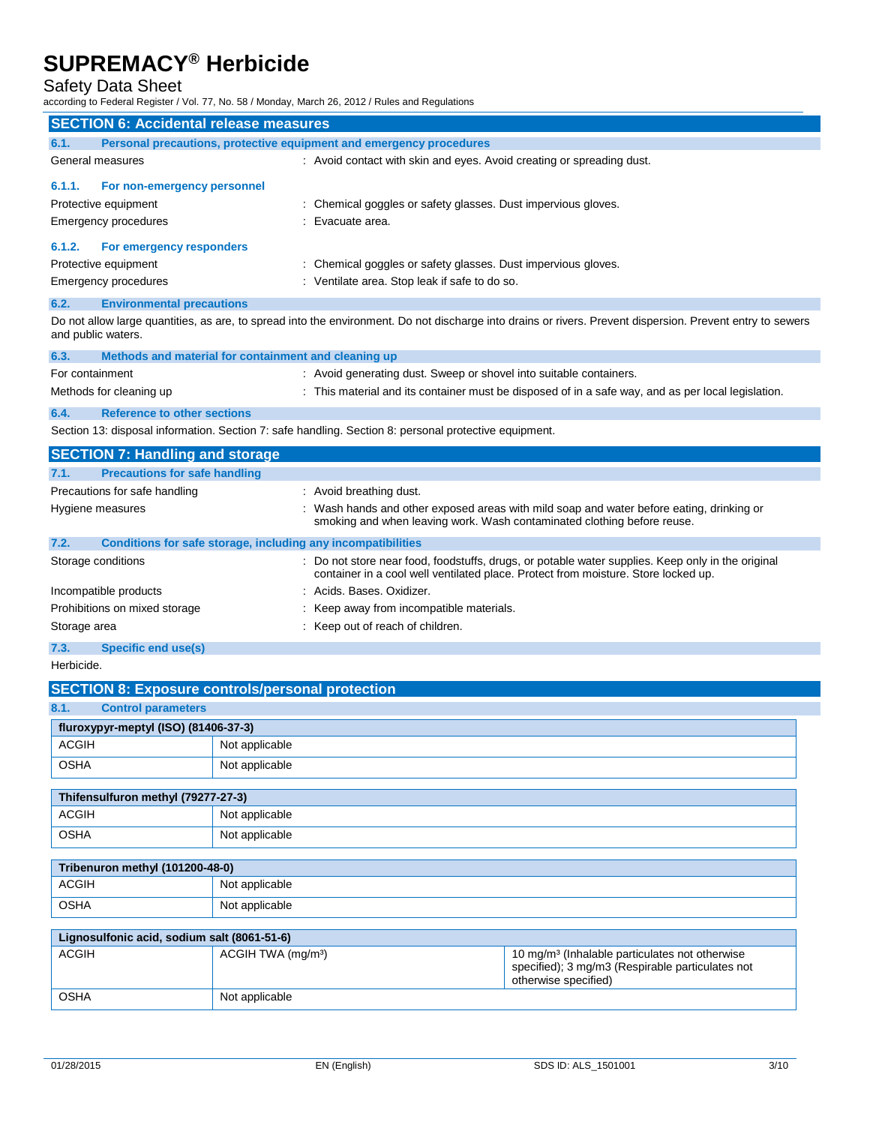### Safety Data Sheet

according to Federal Register / Vol. 77, No. 58 / Monday, March 26, 2012 / Rules and Regulations

| 2000 any to Todoral Rogiotor / Vol. 11, No. 00 / Monday, Maron 20, 2012 / Raioo and Rog |                                |                                                                                                       |                                                                                                                                                                                         |
|-----------------------------------------------------------------------------------------|--------------------------------|-------------------------------------------------------------------------------------------------------|-----------------------------------------------------------------------------------------------------------------------------------------------------------------------------------------|
| <b>SECTION 6: Accidental release measures</b>                                           |                                |                                                                                                       |                                                                                                                                                                                         |
| 6.1.                                                                                    |                                | Personal precautions, protective equipment and emergency procedures                                   |                                                                                                                                                                                         |
| General measures                                                                        |                                | : Avoid contact with skin and eyes. Avoid creating or spreading dust.                                 |                                                                                                                                                                                         |
| 6.1.1.<br>For non-emergency personnel                                                   |                                |                                                                                                       |                                                                                                                                                                                         |
| Protective equipment                                                                    |                                | : Chemical goggles or safety glasses. Dust impervious gloves.                                         |                                                                                                                                                                                         |
| <b>Emergency procedures</b>                                                             |                                | Evacuate area.                                                                                        |                                                                                                                                                                                         |
|                                                                                         |                                |                                                                                                       |                                                                                                                                                                                         |
| 6.1.2.<br>For emergency responders                                                      |                                |                                                                                                       |                                                                                                                                                                                         |
| Protective equipment                                                                    |                                | : Chemical goggles or safety glasses. Dust impervious gloves.                                         |                                                                                                                                                                                         |
| <b>Emergency procedures</b>                                                             |                                | : Ventilate area. Stop leak if safe to do so.                                                         |                                                                                                                                                                                         |
| 6.2.<br><b>Environmental precautions</b>                                                |                                |                                                                                                       |                                                                                                                                                                                         |
| and public waters.                                                                      |                                |                                                                                                       | Do not allow large quantities, as are, to spread into the environment. Do not discharge into drains or rivers. Prevent dispersion. Prevent entry to sewers                              |
| 6.3.<br>Methods and material for containment and cleaning up                            |                                |                                                                                                       |                                                                                                                                                                                         |
| For containment                                                                         |                                | : Avoid generating dust. Sweep or shovel into suitable containers.                                    |                                                                                                                                                                                         |
| Methods for cleaning up                                                                 |                                |                                                                                                       | : This material and its container must be disposed of in a safe way, and as per local legislation.                                                                                      |
| 6.4.<br><b>Reference to other sections</b>                                              |                                |                                                                                                       |                                                                                                                                                                                         |
|                                                                                         |                                | Section 13: disposal information. Section 7: safe handling. Section 8: personal protective equipment. |                                                                                                                                                                                         |
|                                                                                         |                                |                                                                                                       |                                                                                                                                                                                         |
| <b>SECTION 7: Handling and storage</b>                                                  |                                |                                                                                                       |                                                                                                                                                                                         |
| <b>Precautions for safe handling</b><br>7.1.                                            |                                |                                                                                                       |                                                                                                                                                                                         |
| Precautions for safe handling                                                           |                                | : Avoid breathing dust.                                                                               |                                                                                                                                                                                         |
| Hygiene measures                                                                        |                                |                                                                                                       | : Wash hands and other exposed areas with mild soap and water before eating, drinking or<br>smoking and when leaving work. Wash contaminated clothing before reuse.                     |
| 7.2.                                                                                    |                                | Conditions for safe storage, including any incompatibilities                                          |                                                                                                                                                                                         |
| Storage conditions                                                                      |                                |                                                                                                       | : Do not store near food, foodstuffs, drugs, or potable water supplies. Keep only in the original<br>container in a cool well ventilated place. Protect from moisture. Store locked up. |
| Incompatible products                                                                   | : Acids. Bases. Oxidizer.      |                                                                                                       |                                                                                                                                                                                         |
| Prohibitions on mixed storage                                                           |                                | Keep away from incompatible materials.                                                                |                                                                                                                                                                                         |
| Storage area                                                                            |                                | : Keep out of reach of children.                                                                      |                                                                                                                                                                                         |
| 7.3.<br>Specific end use(s)                                                             |                                |                                                                                                       |                                                                                                                                                                                         |
| Herbicide.                                                                              |                                |                                                                                                       |                                                                                                                                                                                         |
| <b>SECTION 8: Exposure controls/personal protection</b>                                 |                                |                                                                                                       |                                                                                                                                                                                         |
| 8.1.<br><b>Control parameters</b>                                                       |                                |                                                                                                       |                                                                                                                                                                                         |
|                                                                                         |                                |                                                                                                       |                                                                                                                                                                                         |
| fluroxypyr-meptyl (ISO) (81406-37-3)<br>ACGIH                                           | Not applicable                 |                                                                                                       |                                                                                                                                                                                         |
|                                                                                         |                                |                                                                                                       |                                                                                                                                                                                         |
| <b>OSHA</b>                                                                             | Not applicable                 |                                                                                                       |                                                                                                                                                                                         |
| Thifensulfuron methyl (79277-27-3)                                                      |                                |                                                                                                       |                                                                                                                                                                                         |
| <b>ACGIH</b>                                                                            | Not applicable                 |                                                                                                       |                                                                                                                                                                                         |
|                                                                                         |                                |                                                                                                       |                                                                                                                                                                                         |
| <b>OSHA</b>                                                                             | Not applicable                 |                                                                                                       |                                                                                                                                                                                         |
| Tribenuron methyl (101200-48-0)                                                         |                                |                                                                                                       |                                                                                                                                                                                         |
| <b>ACGIH</b>                                                                            | Not applicable                 |                                                                                                       |                                                                                                                                                                                         |
| <b>OSHA</b>                                                                             | Not applicable                 |                                                                                                       |                                                                                                                                                                                         |
|                                                                                         |                                |                                                                                                       |                                                                                                                                                                                         |
| Lignosulfonic acid, sodium salt (8061-51-6)                                             |                                |                                                                                                       |                                                                                                                                                                                         |
| <b>ACGIH</b>                                                                            | ACGIH TWA (mg/m <sup>3</sup> ) |                                                                                                       | 10 mg/m <sup>3</sup> (Inhalable particulates not otherwise<br>specified); 3 mg/m3 (Respirable particulates not<br>otherwise specified)                                                  |
| <b>OSHA</b>                                                                             | Not applicable                 |                                                                                                       |                                                                                                                                                                                         |
|                                                                                         |                                |                                                                                                       |                                                                                                                                                                                         |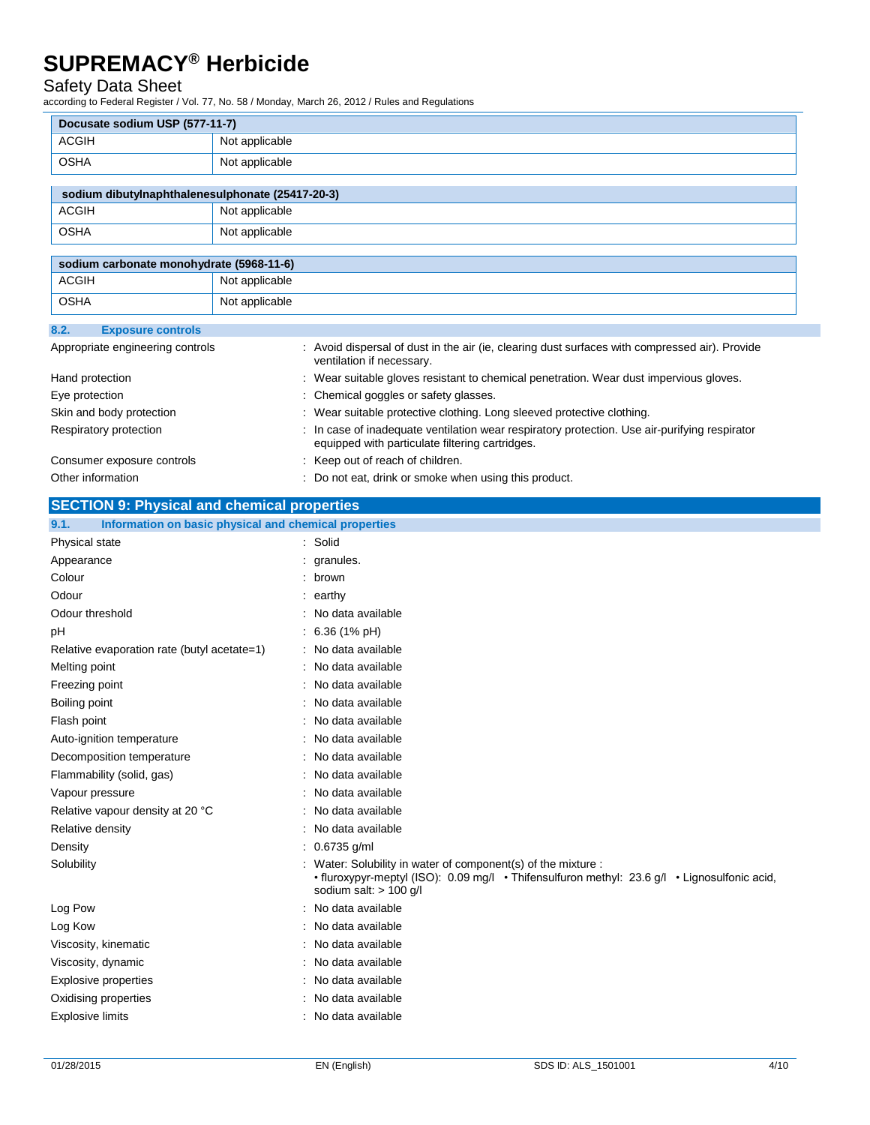OSHA Not applicable

## Safety Data Sheet

according to Federal Register / Vol. 77, No. 58 / Monday, March 26, 2012 / Rules and Regulations

| Docusate sodium USP (577-11-7) |                |
|--------------------------------|----------------|
| ACGIH                          | Not applicable |
| OSHA                           | Not applicable |

| sodium dibutylnaphthalenesulphonate (25417-20-3) |                |  |
|--------------------------------------------------|----------------|--|
| <b>ACGIH</b>                                     | Not applicable |  |
| <b>OSHA</b>                                      | Not applicable |  |
|                                                  |                |  |
| sodium carbonate monohydrate (5968-11-6)         |                |  |
| <b>ACGIH</b>                                     | Not applicable |  |

| 8.2.<br><b>Exposure controls</b> |                                                                                                                                                |
|----------------------------------|------------------------------------------------------------------------------------------------------------------------------------------------|
| Appropriate engineering controls | : Avoid dispersal of dust in the air (ie, clearing dust surfaces with compressed air). Provide<br>ventilation if necessary.                    |
| Hand protection                  | : Wear suitable gloves resistant to chemical penetration. Wear dust impervious gloves.                                                         |
| Eye protection                   | : Chemical goggles or safety glasses.                                                                                                          |
| Skin and body protection         | : Wear suitable protective clothing. Long sleeved protective clothing.                                                                         |
| Respiratory protection           | In case of inadequate ventilation wear respiratory protection. Use air-purifying respirator<br>equipped with particulate filtering cartridges. |
| Consumer exposure controls       | : Keep out of reach of children.                                                                                                               |
| Other information                | : Do not eat, drink or smoke when using this product.                                                                                          |

| <b>SECTION 9: Physical and chemical properties</b> |  |
|----------------------------------------------------|--|
|                                                    |  |

| Information on basic physical and chemical properties<br>9.1. |                                                                                                                                                                                       |
|---------------------------------------------------------------|---------------------------------------------------------------------------------------------------------------------------------------------------------------------------------------|
| Physical state                                                | : Solid                                                                                                                                                                               |
| Appearance                                                    | : granules.                                                                                                                                                                           |
| Colour                                                        | : brown                                                                                                                                                                               |
| Odour                                                         | $:$ earthy                                                                                                                                                                            |
| Odour threshold                                               | No data available                                                                                                                                                                     |
| рH                                                            | $: 6.36(1\% \text{ pH})$                                                                                                                                                              |
| Relative evaporation rate (butyl acetate=1)                   | No data available                                                                                                                                                                     |
| Melting point                                                 | : No data available                                                                                                                                                                   |
| Freezing point                                                | : No data available                                                                                                                                                                   |
| Boiling point                                                 | No data available                                                                                                                                                                     |
| Flash point                                                   | : No data available                                                                                                                                                                   |
| Auto-ignition temperature                                     | No data available                                                                                                                                                                     |
| Decomposition temperature                                     | : No data available                                                                                                                                                                   |
| Flammability (solid, gas)                                     | : No data available                                                                                                                                                                   |
| Vapour pressure                                               | : No data available                                                                                                                                                                   |
| Relative vapour density at 20 °C                              | : No data available                                                                                                                                                                   |
| Relative density                                              | No data available                                                                                                                                                                     |
| Density                                                       | 0.6735 g/ml                                                                                                                                                                           |
| Solubility                                                    | Water: Solubility in water of component(s) of the mixture :<br>• fluroxypyr-meptyl (ISO): 0.09 mg/l • Thifensulfuron methyl: 23.6 g/l • Lignosulfonic acid,<br>sodium salt: > 100 g/l |
| Log Pow                                                       | : No data available                                                                                                                                                                   |
| Log Kow                                                       | No data available                                                                                                                                                                     |
| Viscosity, kinematic                                          | : No data available                                                                                                                                                                   |
| Viscosity, dynamic                                            | : No data available                                                                                                                                                                   |
| <b>Explosive properties</b>                                   | No data available                                                                                                                                                                     |
| Oxidising properties                                          | No data available                                                                                                                                                                     |
| Explosive limits                                              | No data available                                                                                                                                                                     |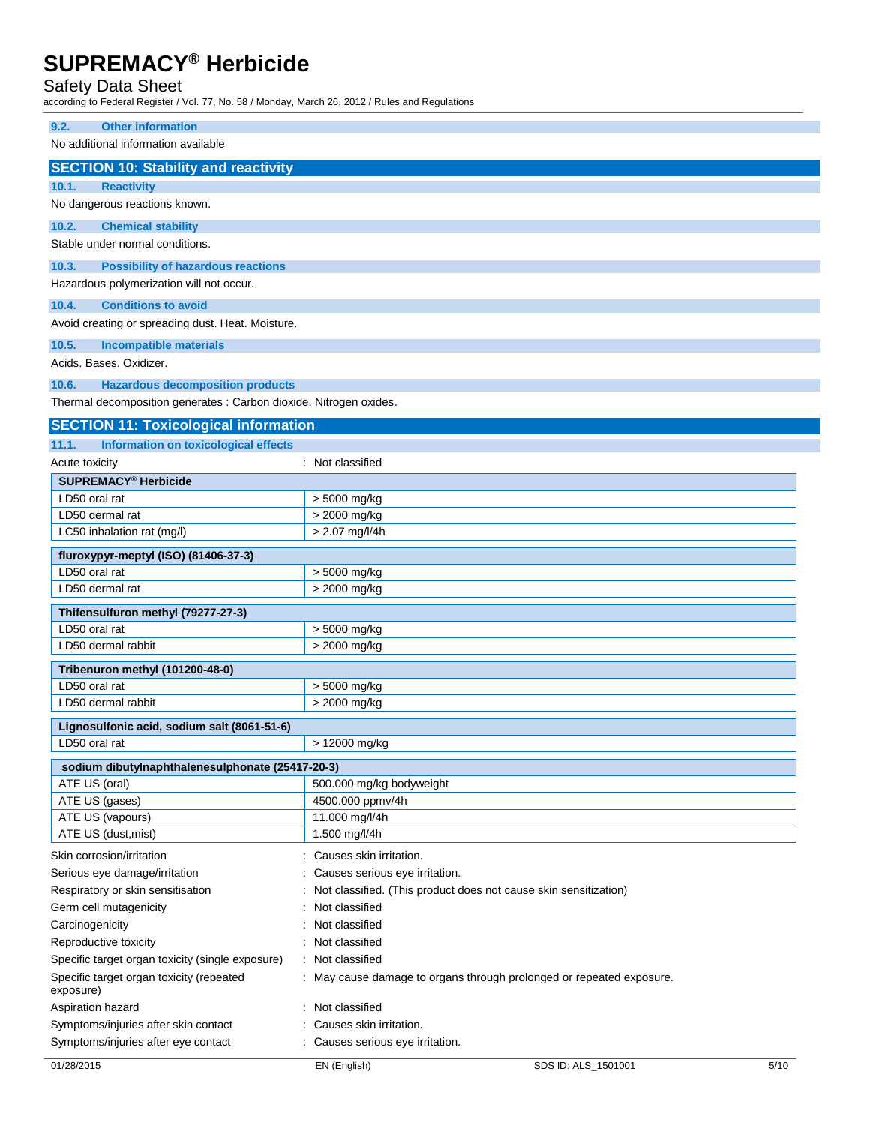# Safety Data Sheet

according to Federal Register / Vol. 77, No. 58 / Monday, March 26, 2012 / Rules and Regulations

| <b>Other information</b><br>9.2.                                   |                                                                      |
|--------------------------------------------------------------------|----------------------------------------------------------------------|
| No additional information available                                |                                                                      |
|                                                                    |                                                                      |
| <b>SECTION 10: Stability and reactivity</b>                        |                                                                      |
| 10.1.<br><b>Reactivity</b>                                         |                                                                      |
| No dangerous reactions known.                                      |                                                                      |
| 10.2.<br><b>Chemical stability</b>                                 |                                                                      |
| Stable under normal conditions.                                    |                                                                      |
| <b>Possibility of hazardous reactions</b><br>10.3.                 |                                                                      |
| Hazardous polymerization will not occur.                           |                                                                      |
| <b>Conditions to avoid</b><br>10.4.                                |                                                                      |
| Avoid creating or spreading dust. Heat. Moisture.                  |                                                                      |
|                                                                    |                                                                      |
| 10.5.<br><b>Incompatible materials</b>                             |                                                                      |
| Acids. Bases. Oxidizer.                                            |                                                                      |
| 10.6.<br><b>Hazardous decomposition products</b>                   |                                                                      |
| Thermal decomposition generates : Carbon dioxide. Nitrogen oxides. |                                                                      |
| <b>SECTION 11: Toxicological information</b>                       |                                                                      |
| <b>Information on toxicological effects</b><br>11.1.               |                                                                      |
| Acute toxicity                                                     | : Not classified                                                     |
| <b>SUPREMACY® Herbicide</b>                                        |                                                                      |
| LD50 oral rat                                                      | > 5000 mg/kg                                                         |
| LD50 dermal rat                                                    | > 2000 mg/kg                                                         |
| LC50 inhalation rat (mg/l)                                         | > 2.07 mg/l/4h                                                       |
|                                                                    |                                                                      |
| fluroxypyr-meptyl (ISO) (81406-37-3)<br>LD50 oral rat              |                                                                      |
| LD50 dermal rat                                                    | > 5000 mg/kg<br>> 2000 mg/kg                                         |
|                                                                    |                                                                      |
| Thifensulfuron methyl (79277-27-3)                                 |                                                                      |
| LD50 oral rat                                                      | > 5000 mg/kg                                                         |
| LD50 dermal rabbit                                                 | > 2000 mg/kg                                                         |
| Tribenuron methyl (101200-48-0)                                    |                                                                      |
| LD50 oral rat                                                      | > 5000 mg/kg                                                         |
| LD50 dermal rabbit                                                 | > 2000 mg/kg                                                         |
| Lignosulfonic acid, sodium salt (8061-51-6)                        |                                                                      |
| LD50 oral rat                                                      | > 12000 mg/kg                                                        |
|                                                                    |                                                                      |
| sodium dibutylnaphthalenesulphonate (25417-20-3)                   |                                                                      |
| ATE US (oral)<br>ATE US (gases)                                    | 500.000 mg/kg bodyweight<br>4500.000 ppmv/4h                         |
| ATE US (vapours)                                                   | 11.000 mg/l/4h                                                       |
| ATE US (dust, mist)                                                | 1.500 mg/l/4h                                                        |
|                                                                    |                                                                      |
| Skin corrosion/irritation                                          | Causes skin irritation.                                              |
| Serious eye damage/irritation                                      | Causes serious eye irritation.                                       |
| Respiratory or skin sensitisation                                  | Not classified. (This product does not cause skin sensitization)     |
| Germ cell mutagenicity                                             | Not classified                                                       |
| Carcinogenicity                                                    | Not classified                                                       |
| Reproductive toxicity                                              | : Not classified                                                     |
| Specific target organ toxicity (single exposure)                   | : Not classified                                                     |
| Specific target organ toxicity (repeated<br>exposure)              | : May cause damage to organs through prolonged or repeated exposure. |
| Aspiration hazard                                                  | : Not classified                                                     |
| Symptoms/injuries after skin contact                               | Causes skin irritation.                                              |
| Symptoms/injuries after eye contact                                | : Causes serious eye irritation.                                     |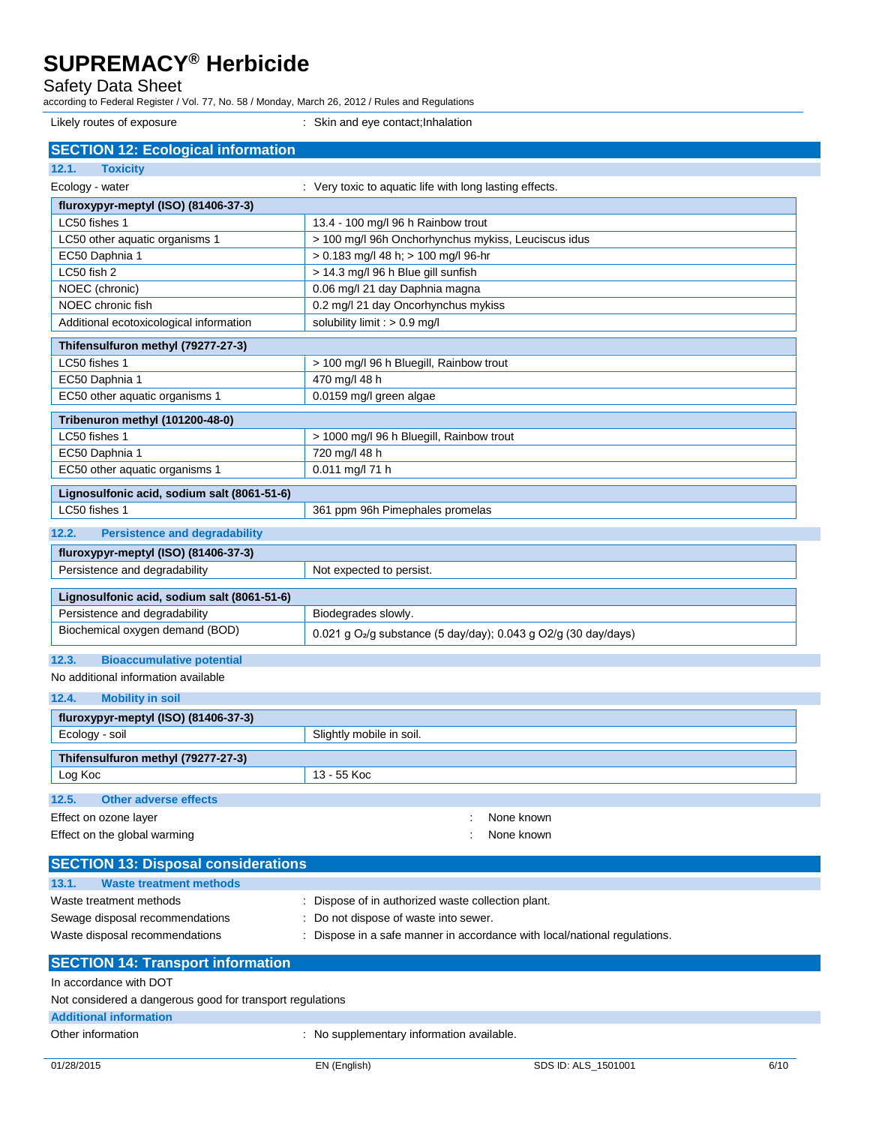Safety Data Sheet

according to Federal Register / Vol. 77, No. 58 / Monday, March 26, 2012 / Rules and Regulations Likely routes of exposure **in the set of the set of the set of the set of the set of the set of the set of the s** 

**SECTION 12: Ecological information 12.1. Toxicity** Ecology - water **interpretent in the Cology - water in the Very toxic to aquatic life with long lasting effects. fluroxypyr-meptyl (ISO) (81406-37-3) LC50 fishes 1** 13.4 - 100 mg/l 96 h Rainbow trout LC50 other aquatic organisms 1  $\vert$  > 100 mg/l 96h Onchorhynchus mykiss, Leuciscus idus EC50 Daphnia 1 > 0.183 mg/l 48 h; > 100 mg/l 96-hr LC50 fish 2 > 14.3 mg/l 96 h Blue gill sunfish NOEC (chronic) 0.06 mg/l 21 day Daphnia magna NOEC chronic fish  $\vert$  0.2 mg/l 21 day Oncorhynchus mykiss Additional ecotoxicological information solubility limit : > 0.9 mg/l **Thifensulfuron methyl (79277-27-3)** LC50 fishes 1  $\vert$  > 100 mg/l 96 h Bluegill, Rainbow trout EC50 Daphnia 1 470 mg/l 48 h EC50 other aquatic organisms 1 0.0159 mg/l green algae **Tribenuron methyl (101200-48-0)** LC50 fishes 1 <br> 2000 mg/l 96 h Bluegill, Rainbow trout EC50 Daphnia 1 720 mg/l 48 h EC50 other aquatic organisms 1 0.011 mg/l 71 h **Lignosulfonic acid, sodium salt (8061-51-6)** LC50 fishes 1 361 ppm 96h Pimephales promelas **12.2. Persistence and degradability fluroxypyr-meptyl (ISO) (81406-37-3)** Persistence and degradability **Not expected to persist. Lignosulfonic acid, sodium salt (8061-51-6)** Persistence and degradability **Biodegrades** slowly Biochemical oxygen demand (BOD) 0.021 g O<sub>2</sub>/g substance (5 day/day); 0.043 g O2/g (30 day/days) **12.3. Bioaccumulative potential** No additional information available **12.4. Mobility in soil fluroxypyr-meptyl (ISO) (81406-37-3)** Ecology - soil Slightly mobile in soil. **Thifensulfuron methyl (79277-27-3)** Log Koc 13 - 55 Koc **12.5. Other adverse effects** Effect on ozone layer in the set of the set of the set of the set of the set of the set of the set of the set of the set of the set of the set of the set of the set of the set of the set of the set of the set of the set of Effect on the global warming **in the set of the set of the set of the set of the set of the set of the set of the set of the set of the set of the set of the set of the set of the set of the set of the set of the set of th SECTION 13: Disposal considerations 13.1. Waste treatment methods** Waste treatment methods **in the state of in** authorized waste collection plant. Sewage disposal recommendations : Do not dispose of waste into sewer. Waste disposal recommendations : Dispose in a safe manner in accordance with local/national regulations. **SECTION 14: Transport information** In accordance with DOT Not considered a dangerous good for transport regulations **Additional information** Other information **Other information** : No supplementary information available.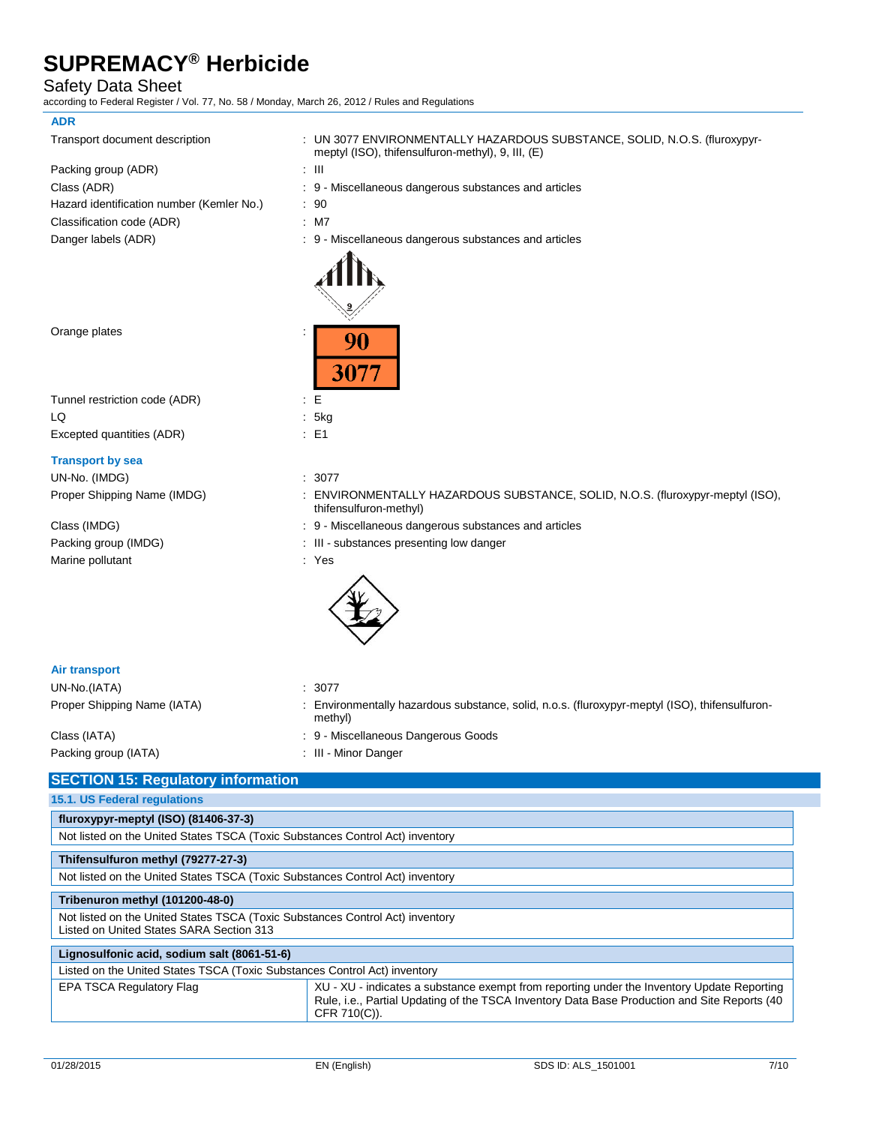### Safety Data Sheet

according to Federal Register / Vol. 77, No. 58 / Monday, March 26, 2012 / Rules and Regulations

#### **ADR**

Transport document description : UN 3077 ENVIRONMENTALLY HAZARDOUS SUBSTANCE, SOLID, N.O.S. (fluroxypyrmeptyl (ISO), thifensulfuron-methyl), 9, III, (E) Packing group (ADR) : III Class (ADR) : 9 - Miscellaneous dangerous substances and articles Hazard identification number (Kemler No.) : 90 Classification code (ADR) : M7 Danger labels (ADR) : 9 - Miscellaneous dangerous substances and articles Orange plates 90 307 Tunnel restriction code (ADR) : E LQ : 5kg Excepted quantities (ADR) : E1 **Transport by sea** UN-No. (IMDG) : 3077 Proper Shipping Name (IMDG) : ENVIRONMENTALLY HAZARDOUS SUBSTANCE, SOLID, N.O.S. (fluroxypyr-meptyl (ISO), thifensulfuron-methyl) Class (IMDG) : 9 - Miscellaneous dangerous substances and articles Packing group (IMDG)  $\qquad \qquad$ : III - substances presenting low danger Marine pollutant in the set of the set of the set of the set of the set of the set of the set of the set of the set of the set of the set of the set of the set of the set of the set of the set of the set of the set of the **Air transport** UN-No.(IATA) : 3077 Proper Shipping Name (IATA) : Environmentally hazardous substance, solid, n.o.s. (fluroxypyr-meptyl (ISO), thifensulfuronmethyl) Class (IATA) : 9 - Miscellaneous Dangerous Goods Packing group (IATA) : III - Minor Danger **SECTION 15: Regulatory information 15.1. US Federal regulations fluroxypyr-meptyl (ISO) (81406-37-3)** Not listed on the United States TSCA (Toxic Substances Control Act) inventory

### **Thifensulfuron methyl (79277-27-3)**

Not listed on the United States TSCA (Toxic Substances Control Act) inventory

| Tribenuron methyl (101200-48-0)                                                                                           |                                                                                                                                                                                                            |  |
|---------------------------------------------------------------------------------------------------------------------------|------------------------------------------------------------------------------------------------------------------------------------------------------------------------------------------------------------|--|
| Not listed on the United States TSCA (Toxic Substances Control Act) inventory<br>Listed on United States SARA Section 313 |                                                                                                                                                                                                            |  |
|                                                                                                                           |                                                                                                                                                                                                            |  |
| Lignosulfonic acid, sodium salt (8061-51-6)                                                                               |                                                                                                                                                                                                            |  |
| Listed on the United States TSCA (Toxic Substances Control Act) inventory                                                 |                                                                                                                                                                                                            |  |
| EPA TSCA Regulatory Flag                                                                                                  | XU - XU - indicates a substance exempt from reporting under the Inventory Update Reporting<br>Rule, i.e., Partial Updating of the TSCA Inventory Data Base Production and Site Reports (40<br>CFR 710(C)). |  |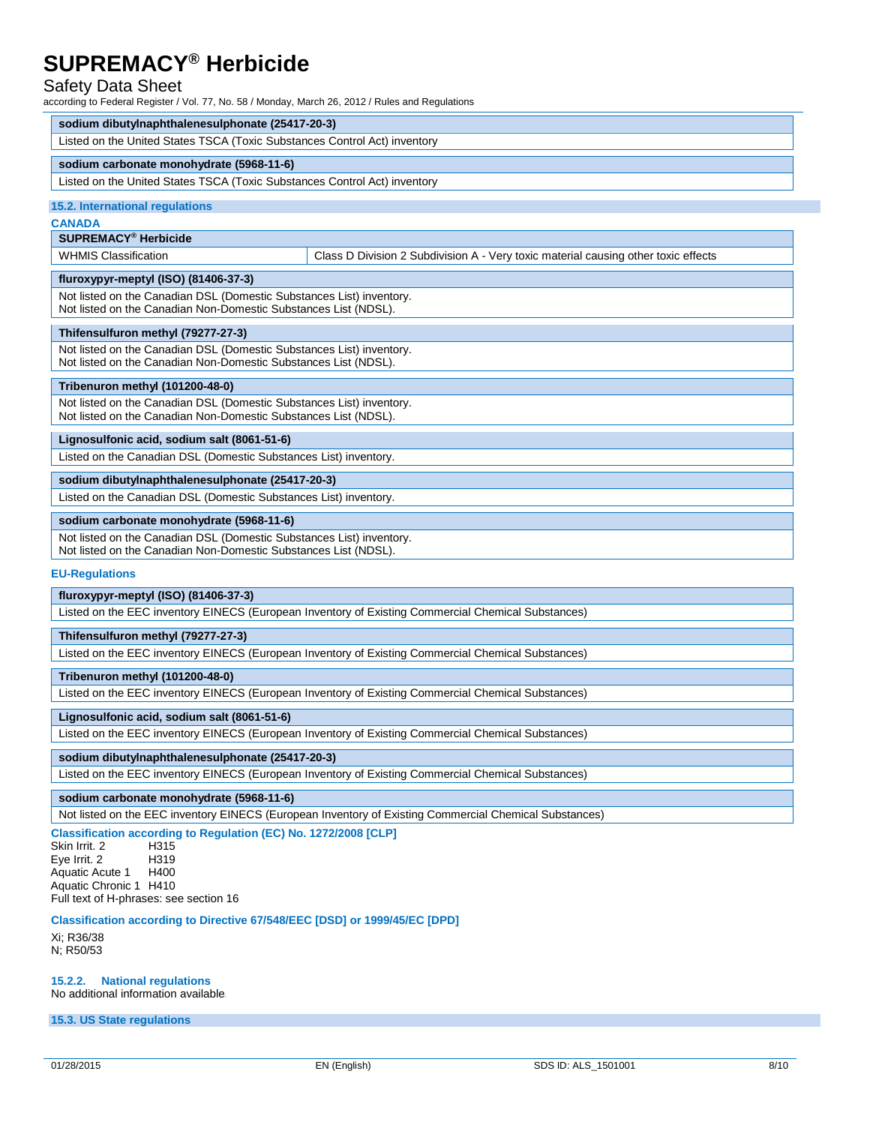#### Safety Data Sheet

according to Federal Register / Vol. 77, No. 58 / Monday, March 26, 2012 / Rules and Regulations

| sodium dibutylnaphthalenesulphonate (25417-20-3)                          |
|---------------------------------------------------------------------------|
| Listed on the United States TSCA (Toxic Substances Control Act) inventory |
| sodium carbonate monohydrate (5968-11-6)                                  |
| Listed on the United States TSCA (Toxic Substances Control Act) inventory |

#### **15.2. International regulations**

#### **CANADA**

#### **SUPREMACY® Herbicide**

WHMIS Classification **Class D Division 2 Subdivision A** - Very toxic material causing other toxic effects

#### **fluroxypyr-meptyl (ISO) (81406-37-3)**

Not listed on the Canadian DSL (Domestic Substances List) inventory. Not listed on the Canadian Non-Domestic Substances List (NDSL).

#### **Thifensulfuron methyl (79277-27-3)**

Not listed on the Canadian DSL (Domestic Substances List) inventory. Not listed on the Canadian Non-Domestic Substances List (NDSL).

#### **Tribenuron methyl (101200-48-0)**

Not listed on the Canadian DSL (Domestic Substances List) inventory. Not listed on the Canadian Non-Domestic Substances List (NDSL).

#### **Lignosulfonic acid, sodium salt (8061-51-6)**

Listed on the Canadian DSL (Domestic Substances List) inventory.

#### **sodium dibutylnaphthalenesulphonate (25417-20-3)**

Listed on the Canadian DSL (Domestic Substances List) inventory.

#### **sodium carbonate monohydrate (5968-11-6)**

Not listed on the Canadian DSL (Domestic Substances List) inventory. Not listed on the Canadian Non-Domestic Substances List (NDSL).

#### **EU-Regulations**

#### **fluroxypyr-meptyl (ISO) (81406-37-3)**

Listed on the EEC inventory EINECS (European Inventory of Existing Commercial Chemical Substances)

#### **Thifensulfuron methyl (79277-27-3)**

Listed on the EEC inventory EINECS (European Inventory of Existing Commercial Chemical Substances)

#### **Tribenuron methyl (101200-48-0)**

Listed on the EEC inventory EINECS (European Inventory of Existing Commercial Chemical Substances)

#### **Lignosulfonic acid, sodium salt (8061-51-6)**

Listed on the EEC inventory EINECS (European Inventory of Existing Commercial Chemical Substances)

#### **sodium dibutylnaphthalenesulphonate (25417-20-3)**

Listed on the EEC inventory EINECS (European Inventory of Existing Commercial Chemical Substances)

#### **sodium carbonate monohydrate (5968-11-6)**

Not listed on the EEC inventory EINECS (European Inventory of Existing Commercial Chemical Substances)

#### **Classification according to Regulation (EC) No. 1272/2008 [CLP]**

Skin Irrit. 2 H315 Eye Irrit. 2 Aquatic Acute 1 H400 Aquatic Chronic 1 H410 Full text of H-phrases: see section 16

#### **Classification according to Directive 67/548/EEC [DSD] or 1999/45/EC [DPD]**

Xi; R36/38 N; R50/53

#### **15.2.2. National regulations**

No additional information available**\**

**15.3. US State regulations**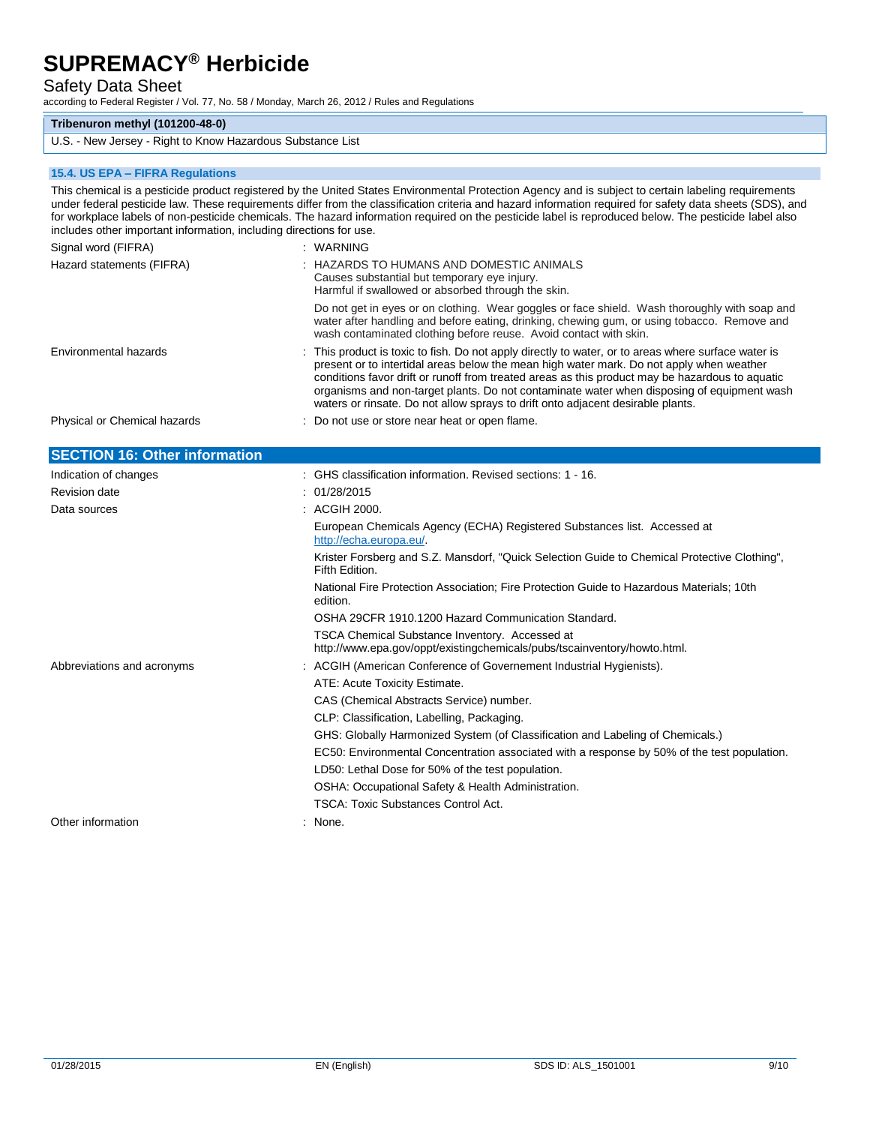# Safety Data Sheet

according to Federal Register / Vol. 77, No. 58 / Monday, March 26, 2012 / Rules and Regulations

## **Tribenuron methyl (101200-48-0)**

### U.S. - New Jersey - Right to Know Hazardous Substance List

### **15.4. US EPA – FIFRA Regulations**

| includes other important information, including directions for use. | This chemical is a pesticide product registered by the United States Environmental Protection Agency and is subject to certain labeling requirements<br>under federal pesticide law. These requirements differ from the classification criteria and hazard information required for safety data sheets (SDS), and<br>for workplace labels of non-pesticide chemicals. The hazard information required on the pesticide label is reproduced below. The pesticide label also        |
|---------------------------------------------------------------------|-----------------------------------------------------------------------------------------------------------------------------------------------------------------------------------------------------------------------------------------------------------------------------------------------------------------------------------------------------------------------------------------------------------------------------------------------------------------------------------|
| Signal word (FIFRA)                                                 | : WARNING                                                                                                                                                                                                                                                                                                                                                                                                                                                                         |
| Hazard statements (FIFRA)                                           | : HAZARDS TO HUMANS AND DOMESTIC ANIMALS<br>Causes substantial but temporary eye injury.<br>Harmful if swallowed or absorbed through the skin.                                                                                                                                                                                                                                                                                                                                    |
|                                                                     | Do not get in eyes or on clothing. Wear goggles or face shield. Wash thoroughly with soap and<br>water after handling and before eating, drinking, chewing gum, or using tobacco. Remove and<br>wash contaminated clothing before reuse. Avoid contact with skin.                                                                                                                                                                                                                 |
| Environmental hazards                                               | This product is toxic to fish. Do not apply directly to water, or to areas where surface water is<br>present or to intertidal areas below the mean high water mark. Do not apply when weather<br>conditions favor drift or runoff from treated areas as this product may be hazardous to aquatic<br>organisms and non-target plants. Do not contaminate water when disposing of equipment wash<br>waters or rinsate. Do not allow sprays to drift onto adjacent desirable plants. |
| Physical or Chemical hazards                                        | : Do not use or store near heat or open flame.                                                                                                                                                                                                                                                                                                                                                                                                                                    |
|                                                                     |                                                                                                                                                                                                                                                                                                                                                                                                                                                                                   |
| <b>SECTION 16: Other information</b>                                |                                                                                                                                                                                                                                                                                                                                                                                                                                                                                   |
| Indication of changes                                               | : GHS classification information. Revised sections: 1 - 16.                                                                                                                                                                                                                                                                                                                                                                                                                       |
| <b>Revision date</b>                                                | : 01/28/2015                                                                                                                                                                                                                                                                                                                                                                                                                                                                      |
| Data sources                                                        | : ACGIH 2000.                                                                                                                                                                                                                                                                                                                                                                                                                                                                     |
|                                                                     | European Chemicals Agency (ECHA) Registered Substances list. Accessed at<br>http://echa.europa.eu/.                                                                                                                                                                                                                                                                                                                                                                               |
|                                                                     | Krister Forsberg and S.Z. Mansdorf, "Quick Selection Guide to Chemical Protective Clothing",<br>Fifth Edition.                                                                                                                                                                                                                                                                                                                                                                    |
|                                                                     | National Fire Protection Association; Fire Protection Guide to Hazardous Materials; 10th<br>edition.                                                                                                                                                                                                                                                                                                                                                                              |
|                                                                     | OSHA 29CFR 1910.1200 Hazard Communication Standard.                                                                                                                                                                                                                                                                                                                                                                                                                               |
|                                                                     | TSCA Chemical Substance Inventory. Accessed at<br>http://www.epa.gov/oppt/existingchemicals/pubs/tscainventory/howto.html.                                                                                                                                                                                                                                                                                                                                                        |
| Abbreviations and acronyms                                          | : ACGIH (American Conference of Governement Industrial Hygienists).                                                                                                                                                                                                                                                                                                                                                                                                               |
|                                                                     | ATE: Acute Toxicity Estimate.                                                                                                                                                                                                                                                                                                                                                                                                                                                     |
|                                                                     | CAS (Chemical Abstracts Service) number.                                                                                                                                                                                                                                                                                                                                                                                                                                          |
|                                                                     | CLP: Classification, Labelling, Packaging.                                                                                                                                                                                                                                                                                                                                                                                                                                        |
|                                                                     | GHS: Globally Harmonized System (of Classification and Labeling of Chemicals.)                                                                                                                                                                                                                                                                                                                                                                                                    |
|                                                                     | EC50: Environmental Concentration associated with a response by 50% of the test population.                                                                                                                                                                                                                                                                                                                                                                                       |
|                                                                     | LD50: Lethal Dose for 50% of the test population.                                                                                                                                                                                                                                                                                                                                                                                                                                 |
|                                                                     | OSHA: Occupational Safety & Health Administration.                                                                                                                                                                                                                                                                                                                                                                                                                                |
|                                                                     | <b>TSCA: Toxic Substances Control Act.</b>                                                                                                                                                                                                                                                                                                                                                                                                                                        |
| Other information                                                   | : None.                                                                                                                                                                                                                                                                                                                                                                                                                                                                           |